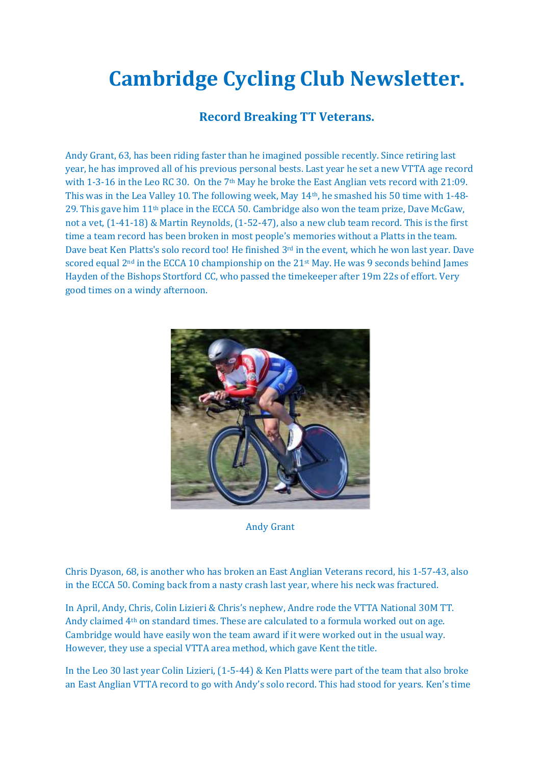# **Cambridge Cycling Club Newsletter.**

# **Record Breaking TT Veterans.**

Andy Grant, 63, has been riding faster than he imagined possible recently. Since retiring last year, he has improved all of his previous personal bests. Last year he set a new VTTA age record with 1-3-16 in the Leo RC 30. On the 7<sup>th</sup> May he broke the East Anglian vets record with 21:09. This was in the Lea Valley 10. The following week, May 14th, he smashed his 50 time with 1-48- 29. This gave him 11th place in the ECCA 50. Cambridge also won the team prize, Dave McGaw, not a vet, (1-41-18) & Martin Reynolds, (1-52-47), also a new club team record. This is the first time a team record has been broken in most people's memories without a Platts in the team. Dave beat Ken Platts's solo record too! He finished 3<sup>rd</sup> in the event, which he won last year. Dave scored equal 2<sup>nd</sup> in the ECCA 10 championship on the 21<sup>st</sup> May. He was 9 seconds behind James Hayden of the Bishops Stortford CC, who passed the timekeeper after 19m 22s of effort. Very good times on a windy afternoon.



Andy Grant

Chris Dyason, 68, is another who has broken an East Anglian Veterans record, his 1-57-43, also in the ECCA 50. Coming back from a nasty crash last year, where his neck was fractured.

In April, Andy, Chris, Colin Lizieri & Chris's nephew, Andre rode the VTTA National 30M TT. Andy claimed 4th on standard times. These are calculated to a formula worked out on age. Cambridge would have easily won the team award if it were worked out in the usual way. However, they use a special VTTA area method, which gave Kent the title.

In the Leo 30 last year Colin Lizieri, (1-5-44) & Ken Platts were part of the team that also broke an East Anglian VTTA record to go with Andy's solo record. This had stood for years. Ken's time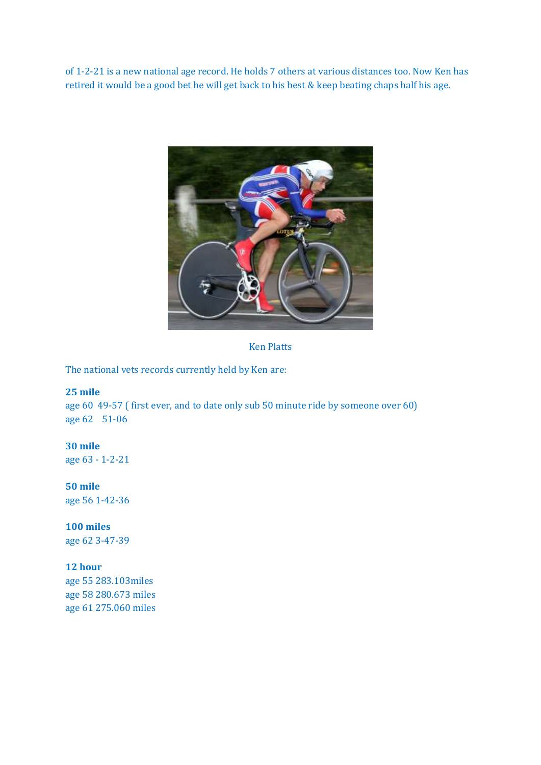of 1-2-21 is a new national age record. He holds 7 others at various distances too. Now Ken has retired it would be a good bet he will get back to his best & keep beating chaps half his age.



Ken Platts

The national vets records currently held by Ken are:

#### **25 mile**

age 60 49-57 ( first ever, and to date only sub 50 minute ride by someone over 60) age 62 51-06

#### **30 mile**

age 63 - 1-2-21

#### **50 mile**

age 56 1-42-36

#### **100 miles**

age 62 3-47-39

#### **12 hour**

age 55 283.103miles age 58 280.673 miles age 61 275.060 miles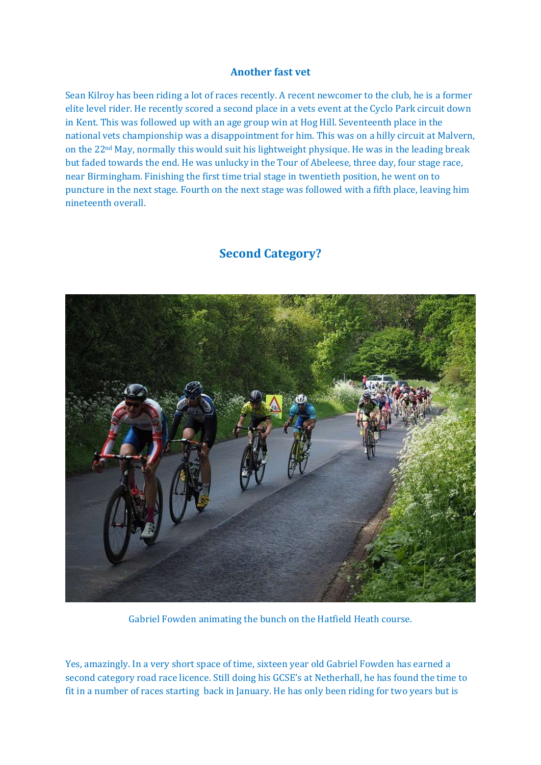#### **Another fast vet**

Sean Kilroy has been riding a lot of races recently. A recent newcomer to the club, he is a former elite level rider. He recently scored a second place in a vets event at the Cyclo Park circuit down in Kent. This was followed up with an age group win at Hog Hill. Seventeenth place in the national vets championship was a disappointment for him. This was on a hilly circuit at Malvern, on the 22nd May, normally this would suit his lightweight physique. He was in the leading break but faded towards the end. He was unlucky in the Tour of Abeleese, three day, four stage race, near Birmingham. Finishing the first time trial stage in twentieth position, he went on to puncture in the next stage. Fourth on the next stage was followed with a fifth place, leaving him nineteenth overall.

## **Second Category?**



Gabriel Fowden animating the bunch on the Hatfield Heath course.

Yes, amazingly. In a very short space of time, sixteen year old Gabriel Fowden has earned a second category road race licence. Still doing his GCSE's at Netherhall, he has found the time to fit in a number of races starting back in January. He has only been riding for two years but is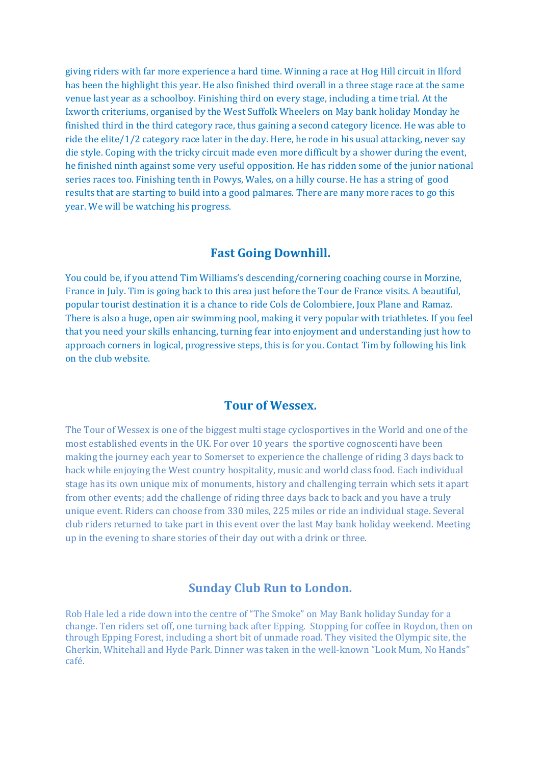giving riders with far more experience a hard time. Winning a race at Hog Hill circuit in Ilford has been the highlight this year. He also finished third overall in a three stage race at the same venue last year as a schoolboy. Finishing third on every stage, including a time trial. At the Ixworth criteriums, organised by the West Suffolk Wheelers on May bank holiday Monday he finished third in the third category race, thus gaining a second category licence. He was able to ride the elite/1/2 category race later in the day. Here, he rode in his usual attacking, never say die style. Coping with the tricky circuit made even more difficult by a shower during the event, he finished ninth against some very useful opposition. He has ridden some of the junior national series races too. Finishing tenth in Powys, Wales, on a hilly course. He has a string of good results that are starting to build into a good palmares. There are many more races to go this year. We will be watching his progress.

### **Fast Going Downhill.**

You could be, if you attend Tim Williams's descending/cornering coaching course in Morzine, France in July. Tim is going back to this area just before the Tour de France visits. A beautiful, popular tourist destination it is a chance to ride Cols de Colombiere, Joux Plane and Ramaz. There is also a huge, open air swimming pool, making it very popular with triathletes. If you feel that you need your skills enhancing, turning fear into enjoyment and understanding just how to approach corners in logical, progressive steps, this is for you. Contact Tim by following his link on the club website.

## **Tour of Wessex.**

The Tour of Wessex is one of the biggest multi stage cyclosportives in the World and one of the most established events in the UK. For over 10 years the sportive cognoscenti have been making the journey each year to Somerset to experience the challenge of riding 3 days back to back while enjoying the West country hospitality, music and world class food. Each individual stage has its own unique mix of monuments, history and challenging terrain which sets it apart from other events; add the challenge of riding three days back to back and you have a truly unique event. Riders can choose from 330 miles, 225 miles or ride an individual stage. Several club riders returned to take part in this event over the last May bank holiday weekend. Meeting up in the evening to share stories of their day out with a drink or three.

#### **Sunday Club Run to London.**

Rob Hale led a ride down into the centre of "The Smoke" on May Bank holiday Sunday for a change. Ten riders set off, one turning back after Epping. Stopping for coffee in Roydon, then on through Epping Forest, including a short bit of unmade road. They visited the Olympic site, the Gherkin, Whitehall and Hyde Park. Dinner was taken in the well-known "Look Mum, No Hands" café.